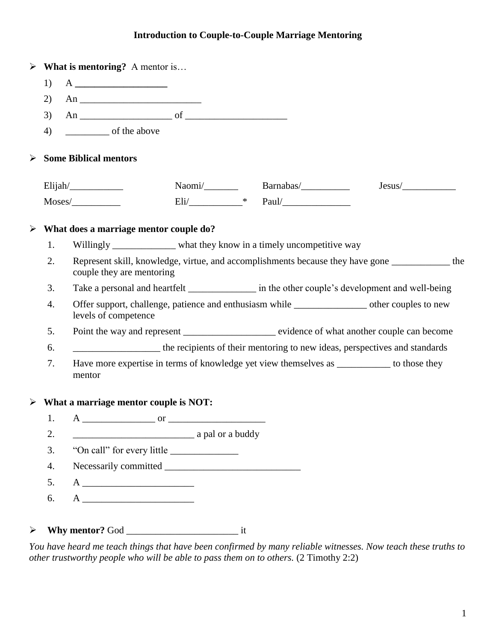# **Introduction to Couple-to-Couple Marriage Mentoring**

|                    |    | $\triangleright$ What is mentoring? A mentor is                                                                            |  |  |                                                                                                  |        |  |
|--------------------|----|----------------------------------------------------------------------------------------------------------------------------|--|--|--------------------------------------------------------------------------------------------------|--------|--|
|                    | 1) |                                                                                                                            |  |  |                                                                                                  |        |  |
|                    | 2) |                                                                                                                            |  |  |                                                                                                  |        |  |
|                    | 3) | An $\overline{\phantom{a}}$ of $\overline{\phantom{a}}$                                                                    |  |  |                                                                                                  |        |  |
| of the above<br>4) |    |                                                                                                                            |  |  |                                                                                                  |        |  |
| ➤                  |    | <b>Some Biblical mentors</b>                                                                                               |  |  |                                                                                                  |        |  |
|                    |    | $Elijah/\_\_\_\_\_\_\_\_\_\_\_\_\_\_\_$                                                                                    |  |  |                                                                                                  | Jesus/ |  |
|                    |    |                                                                                                                            |  |  | $Eli/\underbrace{\qquad \qquad \qquad }$ $\qquad \qquad \text{Paul}/\underbrace{\qquad \qquad }$ |        |  |
| ➤                  |    | What does a marriage mentor couple do?                                                                                     |  |  |                                                                                                  |        |  |
|                    | 1. |                                                                                                                            |  |  | Willingly _____________ what they know in a timely uncompetitive way                             |        |  |
|                    | 2. | Represent skill, knowledge, virtue, and accomplishments because they have gone __________ the<br>couple they are mentoring |  |  |                                                                                                  |        |  |
|                    | 3. | Take a personal and heartfelt __________________ in the other couple's development and well-being                          |  |  |                                                                                                  |        |  |
|                    | 4. | Offer support, challenge, patience and enthusiasm while _________________ other couples to new<br>levels of competence     |  |  |                                                                                                  |        |  |
|                    | 5. | Point the way and represent _______________________ evidence of what another couple can become                             |  |  |                                                                                                  |        |  |
|                    | 6. | the recipients of their mentoring to new ideas, perspectives and standards                                                 |  |  |                                                                                                  |        |  |
|                    | 7. | Have more expertise in terms of knowledge yet view themselves as _________ to those they<br>mentor                         |  |  |                                                                                                  |        |  |
|                    |    | $\triangleright$ What a marriage mentor couple is NOT:                                                                     |  |  |                                                                                                  |        |  |
|                    |    |                                                                                                                            |  |  |                                                                                                  |        |  |
|                    | 2. | a pal or a buddy                                                                                                           |  |  |                                                                                                  |        |  |
|                    | 3. |                                                                                                                            |  |  |                                                                                                  |        |  |
|                    | 4. |                                                                                                                            |  |  |                                                                                                  |        |  |
|                    | 5. |                                                                                                                            |  |  |                                                                                                  |        |  |
|                    | 6. |                                                                                                                            |  |  |                                                                                                  |        |  |

*You have heard me teach things that have been confirmed by many reliable witnesses. Now teach these truths to other trustworthy people who will be able to pass them on to others.* (2 Timothy 2:2)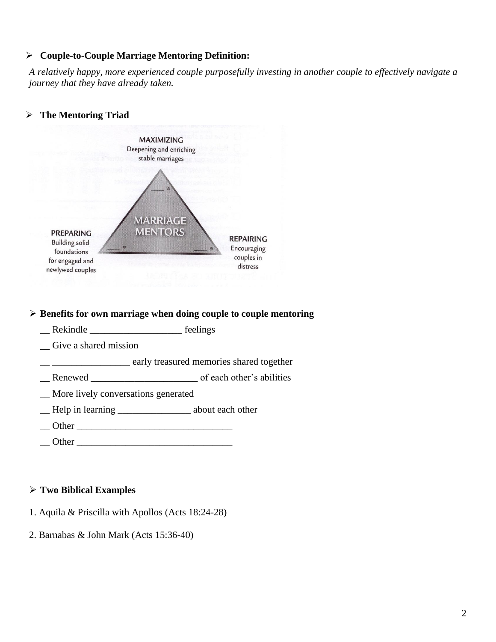## **Couple-to-Couple Marriage Mentoring Definition:**

*A relatively happy, more experienced couple purposefully investing in another couple to effectively navigate a journey that they have already taken.*



\_\_ \_\_\_\_\_\_\_\_\_\_\_\_\_\_\_\_ early treasured memories shared together

- \_\_ Renewed \_\_\_\_\_\_\_\_\_\_\_\_\_\_\_\_\_\_\_\_\_\_ of each other's abilities
- \_\_ More lively conversations generated
- \_\_ Help in learning \_\_\_\_\_\_\_\_\_\_\_\_\_\_\_ about each other
- \_\_ Other \_\_\_\_\_\_\_\_\_\_\_\_\_\_\_\_\_\_\_\_\_\_\_\_\_\_\_\_\_\_\_\_
- Other  $\Box$

## **Two Biblical Examples**

- 1. Aquila & Priscilla with Apollos (Acts 18:24-28)
- 2. Barnabas & John Mark (Acts 15:36-40)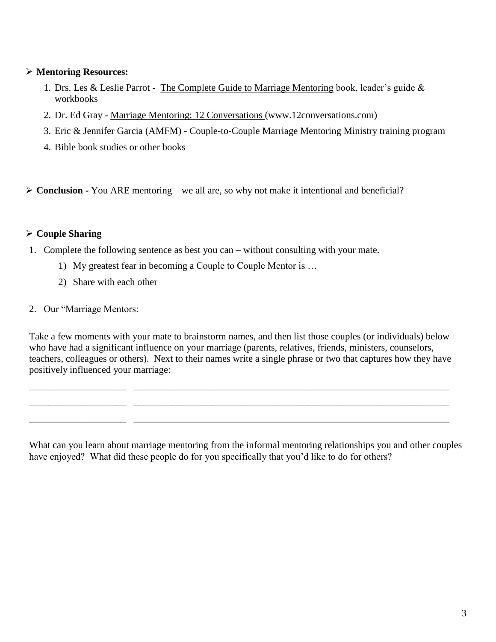## **Mentoring Resources:**

- 1. Drs. Les & Leslie Parrot The Complete Guide to Marriage Mentoring book, leader's guide & workbooks
- 2. Dr. Ed Gray Marriage Mentoring: 12 Conversations (www.12conversations.com)
- 3. Eric & Jennifer Garcia (AMFM) Couple-to-Couple Marriage Mentoring Ministry training program
- 4. Bible book studies or other books
- **Conclusion -** You ARE mentoring we all are, so why not make it intentional and beneficial?

## **Couple Sharing**

- 1. Complete the following sentence as best you can without consulting with your mate.
	- 1) My greatest fear in becoming a Couple to Couple Mentor is …
	- 2) Share with each other
- 2. Our "Marriage Mentors:

Take a few moments with your mate to brainstorm names, and then list those couples (or individuals) below who have had a significant influence on your marriage (parents, relatives, friends, ministers, counselors, teachers, colleagues or others). Next to their names write a single phrase or two that captures how they have positively influenced your marriage:

\_\_\_\_\_\_\_\_\_\_\_\_\_\_\_\_\_\_\_\_ \_\_\_\_\_\_\_\_\_\_\_\_\_\_\_\_\_\_\_\_\_\_\_\_\_\_\_\_\_\_\_\_\_\_\_\_\_\_\_\_\_\_\_\_\_\_\_\_\_\_\_\_\_\_\_\_\_\_\_\_\_\_\_\_\_ \_\_\_\_\_\_\_\_\_\_\_\_\_\_\_\_\_\_\_\_ \_\_\_\_\_\_\_\_\_\_\_\_\_\_\_\_\_\_\_\_\_\_\_\_\_\_\_\_\_\_\_\_\_\_\_\_\_\_\_\_\_\_\_\_\_\_\_\_\_\_\_\_\_\_\_\_\_\_\_\_\_\_\_\_\_

\_\_\_\_\_\_\_\_\_\_\_\_\_\_\_\_\_\_\_\_ \_\_\_\_\_\_\_\_\_\_\_\_\_\_\_\_\_\_\_\_\_\_\_\_\_\_\_\_\_\_\_\_\_\_\_\_\_\_\_\_\_\_\_\_\_\_\_\_\_\_\_\_\_\_\_\_\_\_\_\_\_\_\_\_\_

What can you learn about marriage mentoring from the informal mentoring relationships you and other couples have enjoyed? What did these people do for you specifically that you'd like to do for others?